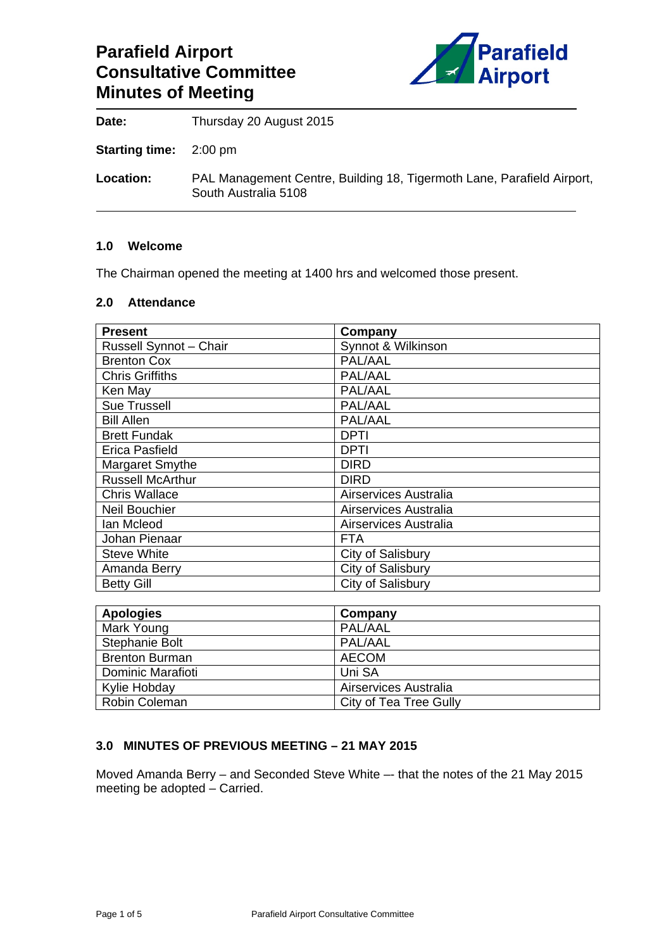# **Parafield Airport Consultative Committee Minutes of Meeting**



**Date:** Thursday 20 August 2015

**Starting time:** 2:00 pm

**Location:** PAL Management Centre, Building 18, Tigermoth Lane, Parafield Airport, South Australia 5108

#### **1.0 Welcome**

The Chairman opened the meeting at 1400 hrs and welcomed those present.

#### **2.0 Attendance**

| <b>Present</b>          | Company               |
|-------------------------|-----------------------|
| Russell Synnot - Chair  | Synnot & Wilkinson    |
| <b>Brenton Cox</b>      | PAL/AAL               |
| <b>Chris Griffiths</b>  | PAL/AAL               |
| Ken May                 | PAL/AAL               |
| <b>Sue Trussell</b>     | PAL/AAL               |
| <b>Bill Allen</b>       | PAL/AAL               |
| <b>Brett Fundak</b>     | <b>DPTI</b>           |
| Erica Pasfield          | <b>DPTI</b>           |
| Margaret Smythe         | <b>DIRD</b>           |
| <b>Russell McArthur</b> | <b>DIRD</b>           |
| <b>Chris Wallace</b>    | Airservices Australia |
| <b>Neil Bouchier</b>    | Airservices Australia |
| Ian Mcleod              | Airservices Australia |
| Johan Pienaar           | <b>FTA</b>            |
| <b>Steve White</b>      | City of Salisbury     |
| Amanda Berry            | City of Salisbury     |
| <b>Betty Gill</b>       | City of Salisbury     |

| <b>Apologies</b>      | Company                |
|-----------------------|------------------------|
| Mark Young            | PAL/AAL                |
| Stephanie Bolt        | PAL/AAL                |
| <b>Brenton Burman</b> | <b>AECOM</b>           |
| Dominic Marafioti     | Uni SA                 |
| Kylie Hobday          | Airservices Australia  |
| Robin Coleman         | City of Tea Tree Gully |

### **3.0 MINUTES OF PREVIOUS MEETING – 21 MAY 2015**

Moved Amanda Berry – and Seconded Steve White –- that the notes of the 21 May 2015 meeting be adopted – Carried.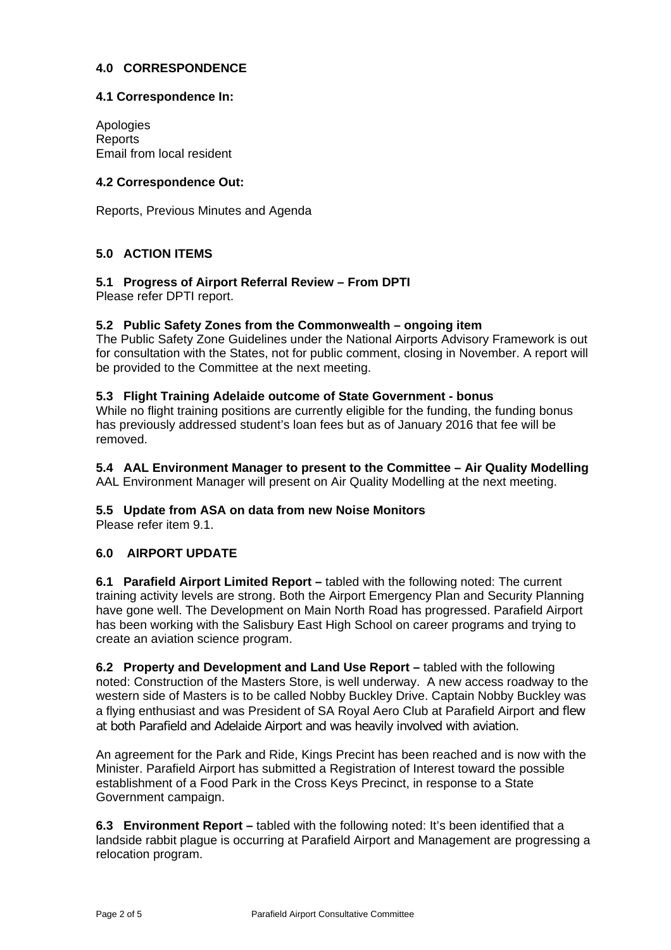### **4.0 CORRESPONDENCE**

### **4.1 Correspondence In:**

Apologies **Reports** Email from local resident

### **4.2 Correspondence Out:**

Reports, Previous Minutes and Agenda

## **5.0 ACTION ITEMS**

# **5.1 Progress of Airport Referral Review – From DPTI**

Please refer DPTI report.

### **5.2 Public Safety Zones from the Commonwealth – ongoing item**

The Public Safety Zone Guidelines under the National Airports Advisory Framework is out for consultation with the States, not for public comment, closing in November. A report will be provided to the Committee at the next meeting.

#### **5.3 Flight Training Adelaide outcome of State Government - bonus**

While no flight training positions are currently eligible for the funding, the funding bonus has previously addressed student's loan fees but as of January 2016 that fee will be removed.

# **5.4 AAL Environment Manager to present to the Committee – Air Quality Modelling**

AAL Environment Manager will present on Air Quality Modelling at the next meeting.

### **5.5 Update from ASA on data from new Noise Monitors**

Please refer item 9.1.

### **6.0 AIRPORT UPDATE**

**6.1 Parafield Airport Limited Report –** tabled with the following noted: The current training activity levels are strong. Both the Airport Emergency Plan and Security Planning have gone well. The Development on Main North Road has progressed. Parafield Airport has been working with the Salisbury East High School on career programs and trying to create an aviation science program.

**6.2 Property and Development and Land Use Report –** tabled with the following noted: Construction of the Masters Store, is well underway. A new access roadway to the western side of Masters is to be called Nobby Buckley Drive. Captain Nobby Buckley was a flying enthusiast and was President of SA Royal Aero Club at Parafield Airport and flew at both Parafield and Adelaide Airport and was heavily involved with aviation.

An agreement for the Park and Ride, Kings Precint has been reached and is now with the Minister. Parafield Airport has submitted a Registration of Interest toward the possible establishment of a Food Park in the Cross Keys Precinct, in response to a State Government campaign.

**6.3 Environment Report –** tabled with the following noted: It's been identified that a landside rabbit plague is occurring at Parafield Airport and Management are progressing a relocation program.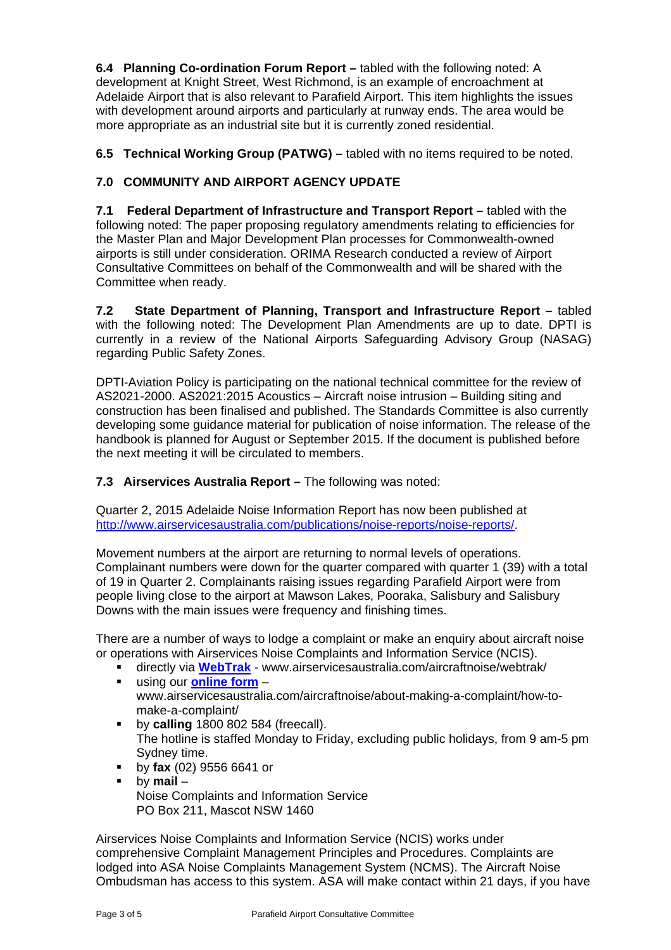**6.4 Planning Co-ordination Forum Report –** tabled with the following noted: A development at Knight Street, West Richmond, is an example of encroachment at Adelaide Airport that is also relevant to Parafield Airport. This item highlights the issues with development around airports and particularly at runway ends. The area would be more appropriate as an industrial site but it is currently zoned residential.

**6.5 Technical Working Group (PATWG) –** tabled with no items required to be noted.

# **7.0 COMMUNITY AND AIRPORT AGENCY UPDATE**

**7.1 Federal Department of Infrastructure and Transport Report –** tabled with the following noted: The paper proposing regulatory amendments relating to efficiencies for the Master Plan and Major Development Plan processes for Commonwealth-owned airports is still under consideration. ORIMA Research conducted a review of Airport Consultative Committees on behalf of the Commonwealth and will be shared with the Committee when ready.

**7.2 State Department of Planning, Transport and Infrastructure Report –** tabled with the following noted: The Development Plan Amendments are up to date. DPTI is currently in a review of the National Airports Safeguarding Advisory Group (NASAG) regarding Public Safety Zones.

DPTI-Aviation Policy is participating on the national technical committee for the review of AS2021-2000. AS2021:2015 Acoustics – Aircraft noise intrusion – Building siting and construction has been finalised and published. The Standards Committee is also currently developing some guidance material for publication of noise information. The release of the handbook is planned for August or September 2015. If the document is published before the next meeting it will be circulated to members.

# **7.3 Airservices Australia Report – The following was noted:**

Quarter 2, 2015 Adelaide Noise Information Report has now been published at http://www.airservicesaustralia.com/publications/noise-reports/noise-reports/.

Movement numbers at the airport are returning to normal levels of operations. Complainant numbers were down for the quarter compared with quarter 1 (39) with a total of 19 in Quarter 2. Complainants raising issues regarding Parafield Airport were from people living close to the airport at Mawson Lakes, Pooraka, Salisbury and Salisbury Downs with the main issues were frequency and finishing times.

There are a number of ways to lodge a complaint or make an enquiry about aircraft noise or operations with Airservices Noise Complaints and Information Service (NCIS).

- directly via **WebTrak** www.airservicesaustralia.com/aircraftnoise/webtrak/
- using our **online form** www.airservicesaustralia.com/aircraftnoise/about-making-a-complaint/how-tomake-a-complaint/
- **by calling** 1800 802 584 (freecall). The hotline is staffed Monday to Friday, excluding public holidays, from 9 am-5 pm Sydney time.
- by **fax** (02) 9556 6641 or
- by **mail** Noise Complaints and Information Service PO Box 211, Mascot NSW 1460

Airservices Noise Complaints and Information Service (NCIS) works under comprehensive Complaint Management Principles and Procedures. Complaints are lodged into ASA Noise Complaints Management System (NCMS). The Aircraft Noise Ombudsman has access to this system. ASA will make contact within 21 days, if you have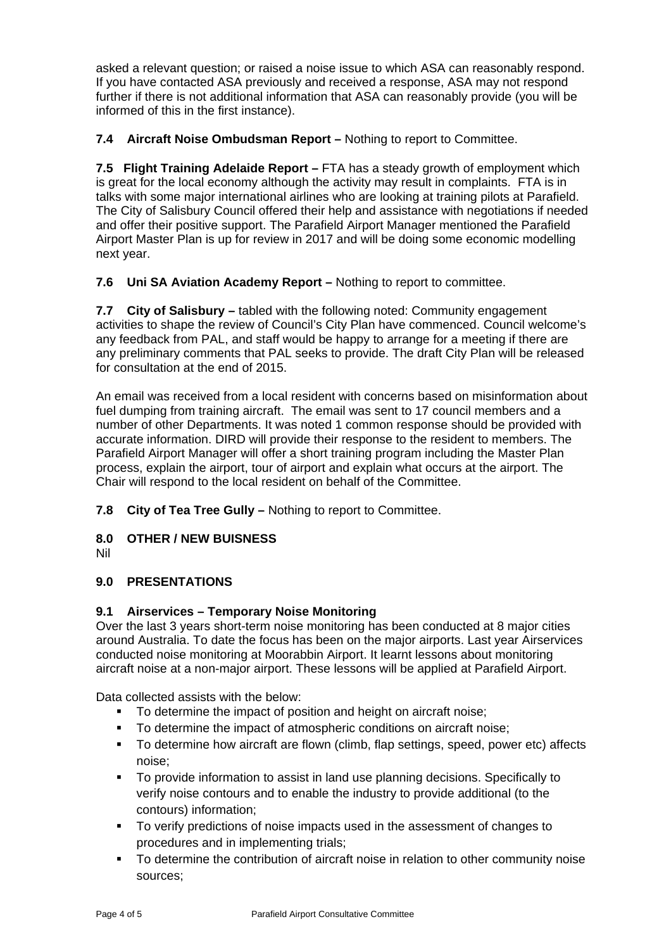asked a relevant question; or raised a noise issue to which ASA can reasonably respond. If you have contacted ASA previously and received a response, ASA may not respond further if there is not additional information that ASA can reasonably provide (you will be informed of this in the first instance).

**7.4 Aircraft Noise Ombudsman Report –** Nothing to report to Committee.

**7.5 Flight Training Adelaide Report –** FTA has a steady growth of employment which is great for the local economy although the activity may result in complaints. FTA is in talks with some major international airlines who are looking at training pilots at Parafield. The City of Salisbury Council offered their help and assistance with negotiations if needed and offer their positive support. The Parafield Airport Manager mentioned the Parafield Airport Master Plan is up for review in 2017 and will be doing some economic modelling next year.

**7.6 Uni SA Aviation Academy Report –** Nothing to report to committee.

**7.7 City of Salisbury –** tabled with the following noted: Community engagement activities to shape the review of Council's City Plan have commenced. Council welcome's any feedback from PAL, and staff would be happy to arrange for a meeting if there are any preliminary comments that PAL seeks to provide. The draft City Plan will be released for consultation at the end of 2015.

An email was received from a local resident with concerns based on misinformation about fuel dumping from training aircraft. The email was sent to 17 council members and a number of other Departments. It was noted 1 common response should be provided with accurate information. DIRD will provide their response to the resident to members. The Parafield Airport Manager will offer a short training program including the Master Plan process, explain the airport, tour of airport and explain what occurs at the airport. The Chair will respond to the local resident on behalf of the Committee.

**7.8 City of Tea Tree Gully –** Nothing to report to Committee.

# **8.0 OTHER / NEW BUISNESS**

Nil

# **9.0 PRESENTATIONS**

# **9.1 Airservices – Temporary Noise Monitoring**

Over the last 3 years short-term noise monitoring has been conducted at 8 major cities around Australia. To date the focus has been on the major airports. Last year Airservices conducted noise monitoring at Moorabbin Airport. It learnt lessons about monitoring aircraft noise at a non-major airport. These lessons will be applied at Parafield Airport.

Data collected assists with the below:

- To determine the impact of position and height on aircraft noise;
- To determine the impact of atmospheric conditions on aircraft noise;
- To determine how aircraft are flown (climb, flap settings, speed, power etc) affects noise;
- To provide information to assist in land use planning decisions. Specifically to verify noise contours and to enable the industry to provide additional (to the contours) information;
- To verify predictions of noise impacts used in the assessment of changes to procedures and in implementing trials;
- To determine the contribution of aircraft noise in relation to other community noise sources;